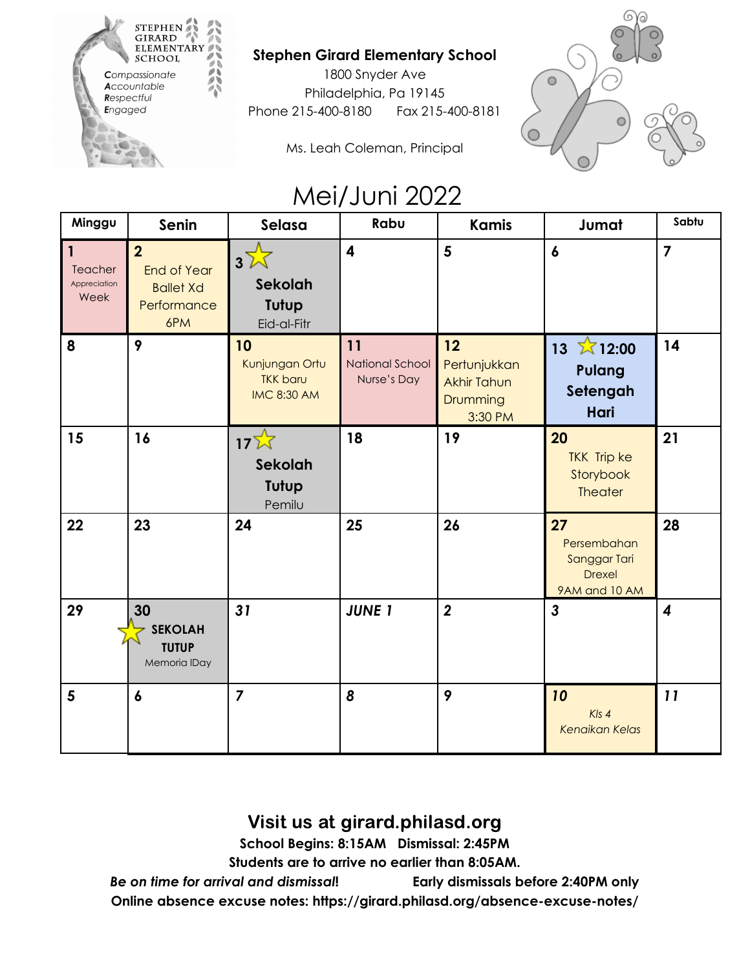

## **Stephen Girard Elementary School**

1800 Snyder Ave Philadelphia, Pa 19145 Phone 215-400-8180 Fax 215-400-8181



Ms. Leah Coleman, Principal

## Mei/Juni 2022

| Minggu                               | Senin                                                                          | Selasa                                                        | Rabu                                        | <b>Kamis</b>                                                    | Jumat                                                                 | Sabtu                   |
|--------------------------------------|--------------------------------------------------------------------------------|---------------------------------------------------------------|---------------------------------------------|-----------------------------------------------------------------|-----------------------------------------------------------------------|-------------------------|
| 1<br>Teacher<br>Appreciation<br>Week | $\overline{2}$<br><b>End of Year</b><br><b>Ballet Xd</b><br>Performance<br>6PM | $3\sqrt{ }$<br>Sekolah<br>Tutup<br>Eid-al-Fitr                | $\overline{\mathbf{4}}$                     | $5\phantom{1}$                                                  | $\boldsymbol{6}$                                                      | $\overline{\mathbf{z}}$ |
| 8                                    | 9                                                                              | 10<br>Kunjungan Ortu<br><b>TKK baru</b><br><b>IMC 8:30 AM</b> | 11<br><b>National School</b><br>Nurse's Day | 12<br>Pertunjukkan<br><b>Akhir Tahun</b><br>Drumming<br>3:30 PM | $\overline{\lambda}$ 12:00<br>13<br><b>Pulang</b><br>Setengah<br>Hari | 14                      |
| 15                                   | 16                                                                             | $17\overline{\lambda}$<br>Sekolah<br>Tutup<br>Pemilu          | 18                                          | 19                                                              | 20<br><b>TKK Trip ke</b><br>Storybook<br><b>Theater</b>               | 21                      |
| 22                                   | 23                                                                             | 24                                                            | 25                                          | 26                                                              | 27<br>Persembahan<br>Sanggar Tari<br><b>Drexel</b><br>9AM and 10 AM   | 28                      |
| 29                                   | 30<br><b>SEKOLAH</b><br><b>TUTUP</b><br>Memoria IDay                           | 31                                                            | <b>JUNE 1</b>                               | $\boldsymbol{2}$                                                | $\mathbf{3}$                                                          | $\boldsymbol{4}$        |
| 5                                    | $\boldsymbol{6}$                                                               | $\overline{7}$                                                | 8                                           | 9                                                               | 10<br>$Kls$ 4<br><b>Kenaikan Kelas</b>                                | 11                      |

Visit us at girard.philasd.org

**School Begins: 8:15AM Dismissal: 2:45PM**

**Students are to arrive no earlier than 8:05AM.**

*Be on time for arrival and dismissal***! Early dismissals before 2:40PM only Online absence excuse notes: https://girard.philasd.org/absence-excuse-notes/**